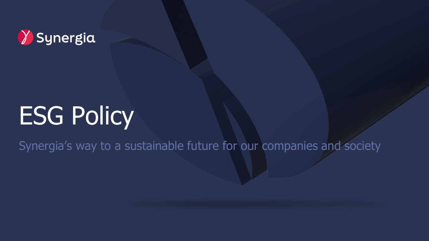## V Synergia

# ESG Policy

Synergia's way to a sustainable future for our companies and society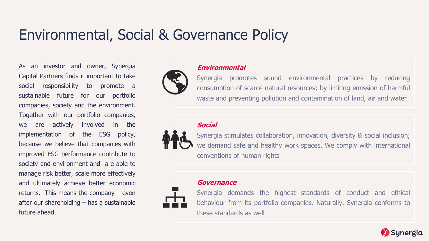### Environmental, Social & Governance Policy

As an investor and owner, Synergia Capital Partners finds it important to take social responsibility to promote a sustainable future for our portfolio companies, society and the environment. Together with our portfolio companies, we are actively involved in the implementation of the ESG policy, because we believe that companies with improved ESG performance contribute to society and environment and are able to manage risk better, scale more effectively and ultimately achieve better economic returns. This means the company – even after our shareholding – has a sustainable future ahead.



#### **Environmental**

Synergia promotes sound environmental practices by reducing consumption of scarce natural resources; by limiting emission of harmful waste and preventing pollution and contamination of land, air and water

#### **Social**



Synergia stimulates collaboration, innovation, diversity & social inclusion; we demand safe and healthy work spaces. We comply with international conventions of human rights



#### **Governance**

Synergia demands the highest standards of conduct and ethical behaviour from its portfolio companies. Naturally, Synergia conforms to these standards as well

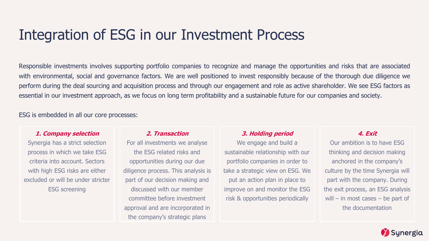### Integration of ESG in our Investment Process

Responsible investments involves supporting portfolio companies to recognize and manage the opportunities and risks that are associated with environmental, social and governance factors. We are well positioned to invest responsibly because of the thorough due diligence we perform during the deal sourcing and acquisition process and through our engagement and role as active shareholder. We see ESG factors as essential in our investment approach, as we focus on long term profitability and a sustainable future for our companies and society.

ESG is embedded in all our core processes:

#### **1. Company selection**

Synergia has a strict selection process in which we take ESG criteria into account. Sectors with high ESG risks are either excluded or will be under stricter ESG screening

#### **2. Transaction**

For all investments we analyse the ESG related risks and opportunities during our due diligence process. This analysis is part of our decision making and discussed with our member committee before investment approval and are incorporated in the company's strategic plans

#### **3. Holding period**

We engage and build a sustainable relationship with our portfolio companies in order to take a strategic view on ESG. We put an action plan in place to improve on and monitor the ESG risk & opportunities periodically

#### **4. Exit**

Our ambition is to have ESG thinking and decision making anchored in the company's culture by the time Synergia will part with the company. During the exit process, an ESG analysis will – in most cases – be part of the documentation

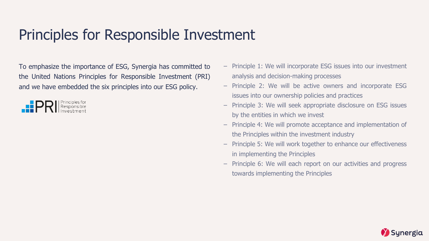### Principles for Responsible Investment

To emphasize the importance of ESG, Synergia has committed to the United Nations Principles for Responsible Investment (PRI) and we have embedded the six principles into our ESG policy.



- Principle 1: We will incorporate ESG issues into our investment analysis and decision-making processes
- Principle 2: We will be active owners and incorporate ESG issues into our ownership policies and practices
- Principle 3: We will seek appropriate disclosure on ESG issues by the entities in which we invest
- Principle 4: We will promote acceptance and implementation of the Principles within the investment industry
- Principle 5: We will work together to enhance our effectiveness in implementing the Principles
- Principle 6: We will each report on our activities and progress towards implementing the Principles

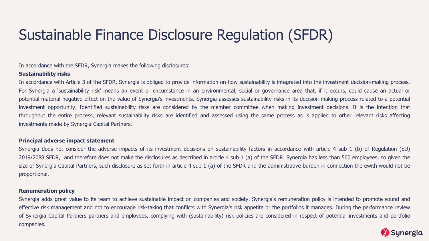### Sustainable Finance Disclosure Regulation (SFDR)

In accordance with the SFDR, Synergia makes the following disclosures:

#### **Sustainability risks**

In accordance with Article 3 of the SFDR, Synergia is obliged to provide information on how sustainability is integrated into the investment decision-making process. For Synergia a 'sustainability risk' means an event or circumstance in an environmental, social or governance area that, if it occurs, could cause an actual or potential material negative effect on the value of Synergia's investments. Synergia assesses sustainability risks in its decision-making process related to a potential investment opportunity. Identified sustainability risks are considered by the member committee when making investment decisions. It is the intention that throughout the entire process, relevant sustainability risks are identified and assessed using the same process as is applied to other relevant risks affecting investments made by Synergia Capital Partners.

#### **Principal adverse impact statement**

Synergia does not consider the adverse impacts of its investment decisions on sustainability factors in accordance with article 4 sub 1 (b) of Regulation (EU) 2019/2088 SFDR, and therefore does not make the disclosures as described in article 4 sub 1 (a) of the SFDR. Synergia has less than 500 employees, so given the size of Synergia Capital Partners, such disclosure as set forth in article 4 sub 1 (a) of the SFDR and the administrative burden in connection therewith would not be proportional.

#### **Renumeration policy**

Synergia adds great value to its team to achieve sustainable impact on companies and society. Synergia's remuneration policy is intended to promote sound and effective risk management and not to encourage risk-taking that conflicts with Synergia's risk appetite or the portfolios it manages. During the performance review of Synergia Capital Partners partners and employees, complying with (sustainability) risk policies are considered in respect of potential investments and portfolio companies.